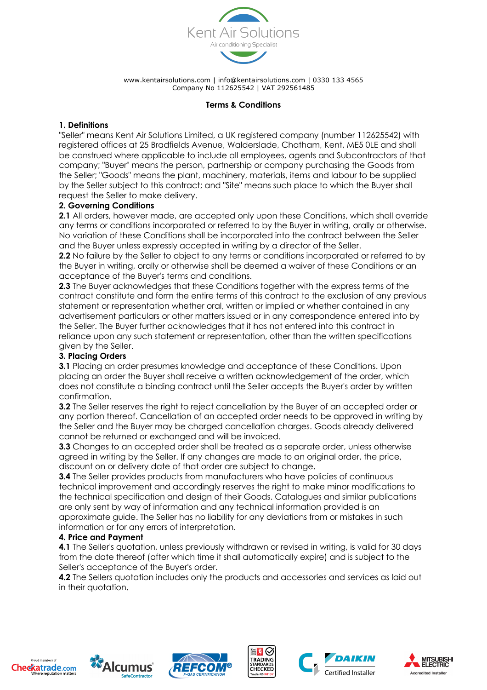

### **Terms & Conditions**

## **1. Definitions**

"Seller" means Kent Air Solutions Limited, a UK registered company (number 112625542) with registered offices at 25 Bradfields Avenue, Walderslade, Chatham, Kent, ME5 0LE and shall be construed where applicable to include all employees, agents and Subcontractors of that company; "Buyer" means the person, partnership or company purchasing the Goods from the Seller; "Goods" means the plant, machinery, materials, items and labour to be supplied by the Seller subject to this contract; and "Site" means such place to which the Buyer shall request the Seller to make delivery.

## **2. Governing Conditions**

**2.1** All orders, however made, are accepted only upon these Conditions, which shall override any terms or conditions incorporated or referred to by the Buyer in writing, orally or otherwise. No variation of these Conditions shall be incorporated into the contract between the Seller and the Buyer unless expressly accepted in writing by a director of the Seller.

**2.2** No failure by the Seller to object to any terms or conditions incorporated or referred to by the Buyer in writing, orally or otherwise shall be deemed a waiver of these Conditions or an acceptance of the Buyer's terms and conditions.

**2.3** The Buyer acknowledges that these Conditions together with the express terms of the contract constitute and form the entire terms of this contract to the exclusion of any previous statement or representation whether oral, written or implied or whether contained in any advertisement particulars or other matters issued or in any correspondence entered into by the Seller. The Buyer further acknowledges that it has not entered into this contract in reliance upon any such statement or representation, other than the written specifications given by the Seller.

### **3. Placing Orders**

**3.1** Placing an order presumes knowledge and acceptance of these Conditions. Upon placing an order the Buyer shall receive a written acknowledgement of the order, which does not constitute a binding contract until the Seller accepts the Buyer's order by written confirmation.

**3.2** The Seller reserves the right to reject cancellation by the Buyer of an accepted order or any portion thereof. Cancellation of an accepted order needs to be approved in writing by the Seller and the Buyer may be charged cancellation charges. Goods already delivered cannot be returned or exchanged and will be invoiced.

**3.3** Changes to an accepted order shall be treated as a separate order, unless otherwise agreed in writing by the Seller. If any changes are made to an original order, the price, discount on or delivery date of that order are subject to change.

**3.4** The Seller provides products from manufacturers who have policies of continuous technical improvement and accordingly reserves the right to make minor modifications to the technical specification and design of their Goods. Catalogues and similar publications are only sent by way of information and any technical information provided is an approximate guide. The Seller has no liability for any deviations from or mistakes in such information or for any errors of interpretation.

### **4. Price and Payment**

**4.1** The Seller's quotation, unless previously withdrawn or revised in writing, is valid for 30 days from the date thereof (after which time it shall automatically expire) and is subject to the Seller's acceptance of the Buyer's order.

**4.2** The Sellers quotation includes only the products and accessories and services as laid out in their quotation.













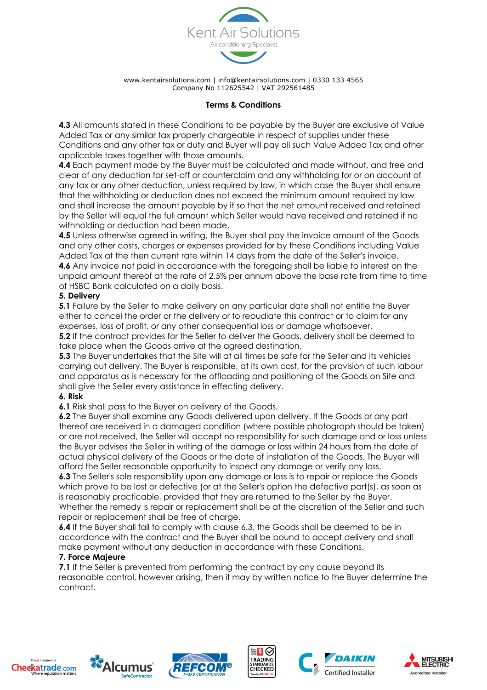

## **Terms & Conditions**

**4.3** All amounts stated in these Conditions to be payable by the Buyer are exclusive of Value Added Tax or any similar tax properly chargeable in respect of supplies under these Conditions and any other tax or duty and Buyer will pay all such Value Added Tax and other applicable taxes together with those amounts.

**4.4** Each payment made by the Buyer must be calculated and made without, and free and clear of any deduction for set-off or counterclaim and any withholding for or on account of any tax or any other deduction, unless required by law, in which case the Buyer shall ensure that the withholding or deduction does not exceed the minimum amount required by law and shall increase the amount payable by it so that the net amount received and retained by the Seller will equal the full amount which Seller would have received and retained if no withholding or deduction had been made.

**4.5** Unless otherwise agreed in writing, the Buyer shall pay the invoice amount of the Goods and any other costs, charges or expenses provided for by these Conditions including Value Added Tax at the then current rate within 14 days from the date of the Seller's invoice.

**4.6** Any invoice not paid in accordance with the foregoing shall be liable to interest on the unpaid amount thereof at the rate of 2.5% per annum above the base rate from time to time of HSBC Bank calculated on a daily basis.

## **5. Delivery**

**5.1** Failure by the Seller to make delivery on any particular date shall not entitle the Buyer either to cancel the order or the delivery or to repudiate this contract or to claim for any expenses, loss of profit, or any other consequential loss or damage whatsoever.

**5.2** If the contract provides for the Seller to deliver the Goods, delivery shall be deemed to take place when the Goods arrive at the agreed destination.

**5.3** The Buyer undertakes that the Site will at all times be safe for the Seller and its vehicles carrying out delivery. The Buyer is responsible, at its own cost, for the provision of such labour and apparatus as is necessary for the offloading and positioning of the Goods on Site and shall give the Seller every assistance in effecting delivery.

### **6. Risk**

**6.1** Risk shall pass to the Buyer on delivery of the Goods.

**6.2** The Buyer shall examine any Goods delivered upon delivery. If the Goods or any part thereof are received in a damaged condition (where possible photograph should be taken) or are not received, the Seller will accept no responsibility for such damage and or loss unless the Buyer advises the Seller in writing of the damage or loss within 24 hours from the date of actual physical delivery of the Goods or the date of installation of the Goods. The Buyer will afford the Seller reasonable opportunity to inspect any damage or verify any loss.

**6.3** The Seller's sole responsibility upon any damage or loss is to repair or replace the Goods which prove to be lost or defective (or at the Seller's option the defective part(s), as soon as is reasonably practicable, provided that they are returned to the Seller by the Buyer. Whether the remedy is repair or replacement shall be at the discretion of the Seller and such repair or replacement shall be free of charge.

**6.4** If the Buyer shall fail to comply with clause 6.3, the Goods shall be deemed to be in accordance with the contract and the Buyer shall be bound to accept delivery and shall make payment without any deduction in accordance with these Conditions.

### **7. Force Majeure**

**7.1** If the Seller is prevented from performing the contract by any cause beyond its reasonable control, however arising, then it may by written notice to the Buyer determine the contract.













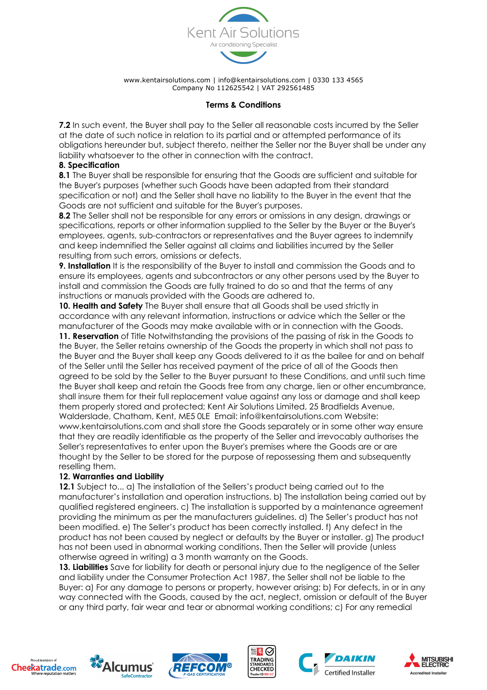

### **Terms & Conditions**

**7.2** In such event, the Buyer shall pay to the Seller all reasonable costs incurred by the Seller at the date of such notice in relation to its partial and or attempted performance of its obligations hereunder but, subject thereto, neither the Seller nor the Buyer shall be under any liability whatsoever to the other in connection with the contract.

#### **8. Specification**

**8.1** The Buyer shall be responsible for ensuring that the Goods are sufficient and suitable for the Buyer's purposes (whether such Goods have been adapted from their standard specification or not) and the Seller shall have no liability to the Buyer in the event that the Goods are not sufficient and suitable for the Buyer's purposes.

**8.2** The Seller shall not be responsible for any errors or omissions in any design, drawings or specifications, reports or other information supplied to the Seller by the Buyer or the Buyer's employees, agents, sub-contractors or representatives and the Buyer agrees to indemnify and keep indemnified the Seller against all claims and liabilities incurred by the Seller resulting from such errors, omissions or defects.

**9. Installation** It is the responsibility of the Buyer to install and commission the Goods and to ensure its employees, agents and subcontractors or any other persons used by the Buyer to install and commission the Goods are fully trained to do so and that the terms of any instructions or manuals provided with the Goods are adhered to.

**10. Health and Safety** The Buyer shall ensure that all Goods shall be used strictly in accordance with any relevant information, instructions or advice which the Seller or the manufacturer of the Goods may make available with or in connection with the Goods.

**11. Reservation** of Title Notwithstanding the provisions of the passing of risk in the Goods to the Buyer, the Seller retains ownership of the Goods the property in which shall not pass to the Buyer and the Buyer shall keep any Goods delivered to it as the bailee for and on behalf of the Seller until the Seller has received payment of the price of all of the Goods then agreed to be sold by the Seller to the Buyer pursuant to these Conditions, and until such time the Buyer shall keep and retain the Goods free from any charge, lien or other encumbrance, shall insure them for their full replacement value against any loss or damage and shall keep them properly stored and protected; Kent Air Solutions Limited, 25 Bradfields Avenue, Walderslade, Chatham, Kent, ME5 0LE Email: info@kentairsolutions.com Website: www.kentairsolutions.com and shall store the Goods separately or in some other way ensure that they are readily identifiable as the property of the Seller and irrevocably authorises the Seller's representatives to enter upon the Buyer's premises where the Goods are or are thought by the Seller to be stored for the purpose of repossessing them and subsequently reselling them.

### **12. Warranties and Liability**

**12.1** Subject to... a) The installation of the Sellers's product being carried out to the manufacturer's installation and operation instructions. b) The installation being carried out by qualified registered engineers. c) The installation is supported by a maintenance agreement providing the minimum as per the manufacturers guidelines. d) The Seller's product has not been modified. e) The Seller's product has been correctly installed. f) Any defect in the product has not been caused by neglect or defaults by the Buyer or installer. g) The product has not been used in abnormal working conditions. Then the Seller will provide (unless otherwise agreed in writing) a 3 month warranty on the Goods.

13. Liabilities Save for liability for death or personal injury due to the negligence of the Seller and liability under the Consumer Protection Act 1987, the Seller shall not be liable to the Buyer: a) For any damage to persons or property, however arising; b) For defects, in or in any way connected with the Goods, caused by the act, neglect, omission or default of the Buyer or any third party, fair wear and tear or abnormal working conditions; c) For any remedial













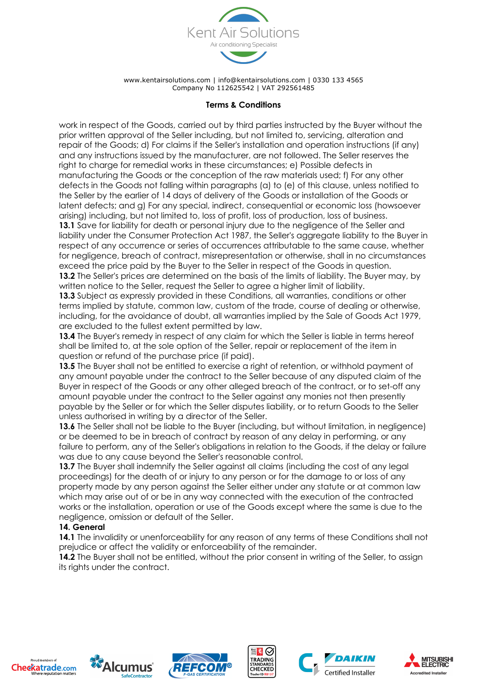

### **Terms & Conditions**

work in respect of the Goods, carried out by third parties instructed by the Buyer without the prior written approval of the Seller including, but not limited to, servicing, alteration and repair of the Goods; d) For claims if the Seller's installation and operation instructions (if any) and any instructions issued by the manufacturer, are not followed. The Seller reserves the right to charge for remedial works in these circumstances; e) Possible defects in manufacturing the Goods or the conception of the raw materials used; f) For any other defects in the Goods not falling within paragraphs (a) to (e) of this clause, unless notified to the Seller by the earlier of 14 days of delivery of the Goods or installation of the Goods or latent defects; and g) For any special, indirect, consequential or economic loss (howsoever arising) including, but not limited to, loss of profit, loss of production, loss of business. **13.1** Save for liability for death or personal injury due to the negligence of the Seller and liability under the Consumer Protection Act 1987, the Seller's aggregate liability to the Buyer in respect of any occurrence or series of occurrences attributable to the same cause, whether

for negligence, breach of contract, misrepresentation or otherwise, shall in no circumstances exceed the price paid by the Buyer to the Seller in respect of the Goods in question. **13.2** The Seller's prices are determined on the basis of the limits of liability. The Buyer may, by written notice to the Seller, request the Seller to agree a higher limit of liability.

**13.3** Subject as expressly provided in these Conditions, all warranties, conditions or other terms implied by statute, common law, custom of the trade, course of dealing or otherwise, including, for the avoidance of doubt, all warranties implied by the Sale of Goods Act 1979, are excluded to the fullest extent permitted by law.

13.4 The Buyer's remedy in respect of any claim for which the Seller is liable in terms hereof shall be limited to, at the sole option of the Seller, repair or replacement of the item in question or refund of the purchase price (if paid).

**13.5** The Buyer shall not be entitled to exercise a right of retention, or withhold payment of any amount payable under the contract to the Seller because of any disputed claim of the Buyer in respect of the Goods or any other alleged breach of the contract, or to set-off any amount payable under the contract to the Seller against any monies not then presently payable by the Seller or for which the Seller disputes liability, or to return Goods to the Seller unless authorised in writing by a director of the Seller.

**13.6** The Seller shall not be liable to the Buyer (including, but without limitation, in negligence) or be deemed to be in breach of contract by reason of any delay in performing, or any failure to perform, any of the Seller's obligations in relation to the Goods, if the delay or failure was due to any cause beyond the Seller's reasonable control.

**13.7** The Buyer shall indemnify the Seller against all claims (including the cost of any legal proceedings) for the death of or injury to any person or for the damage to or loss of any property made by any person against the Seller either under any statute or at common law which may arise out of or be in any way connected with the execution of the contracted works or the installation, operation or use of the Goods except where the same is due to the negligence, omission or default of the Seller.

### **14. General**

**14.1** The invalidity or unenforceability for any reason of any terms of these Conditions shall not prejudice or affect the validity or enforceability of the remainder.

**14.2** The Buyer shall not be entitled, without the prior consent in writing of the Seller, to assign its rights under the contract.